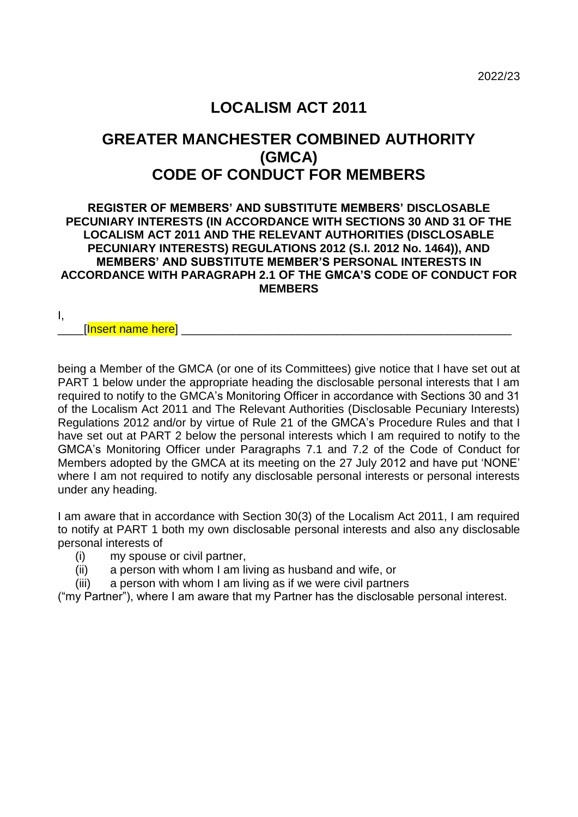## **LOCALISM ACT 2011**

## **GREATER MANCHESTER COMBINED AUTHORITY (GMCA) CODE OF CONDUCT FOR MEMBERS**

#### **REGISTER OF MEMBERS' AND SUBSTITUTE MEMBERS' DISCLOSABLE PECUNIARY INTERESTS (IN ACCORDANCE WITH SECTIONS 30 AND 31 OF THE LOCALISM ACT 2011 AND THE RELEVANT AUTHORITIES (DISCLOSABLE PECUNIARY INTERESTS) REGULATIONS 2012 (S.I. 2012 No. 1464)), AND MEMBERS' AND SUBSTITUTE MEMBER'S PERSONAL INTERESTS IN ACCORDANCE WITH PARAGRAPH 2.1 OF THE GMCA'S CODE OF CONDUCT FOR MEMBERS**

I,

[Insert name here]

being a Member of the GMCA (or one of its Committees) give notice that I have set out at PART 1 below under the appropriate heading the disclosable personal interests that I am required to notify to the GMCA's Monitoring Officer in accordance with Sections 30 and 31 of the Localism Act 2011 and The Relevant Authorities (Disclosable Pecuniary Interests) Regulations 2012 and/or by virtue of Rule 21 of the GMCA's Procedure Rules and that I have set out at PART 2 below the personal interests which I am required to notify to the GMCA's Monitoring Officer under Paragraphs 7.1 and 7.2 of the Code of Conduct for Members adopted by the GMCA at its meeting on the 27 July 2012 and have put 'NONE' where I am not required to notify any disclosable personal interests or personal interests under any heading.

I am aware that in accordance with Section 30(3) of the Localism Act 2011, I am required to notify at PART 1 both my own disclosable personal interests and also any disclosable personal interests of

- (i) my spouse or civil partner,
- (ii) a person with whom I am living as husband and wife, or
- (iii) a person with whom I am living as if we were civil partners

("my Partner"), where I am aware that my Partner has the disclosable personal interest.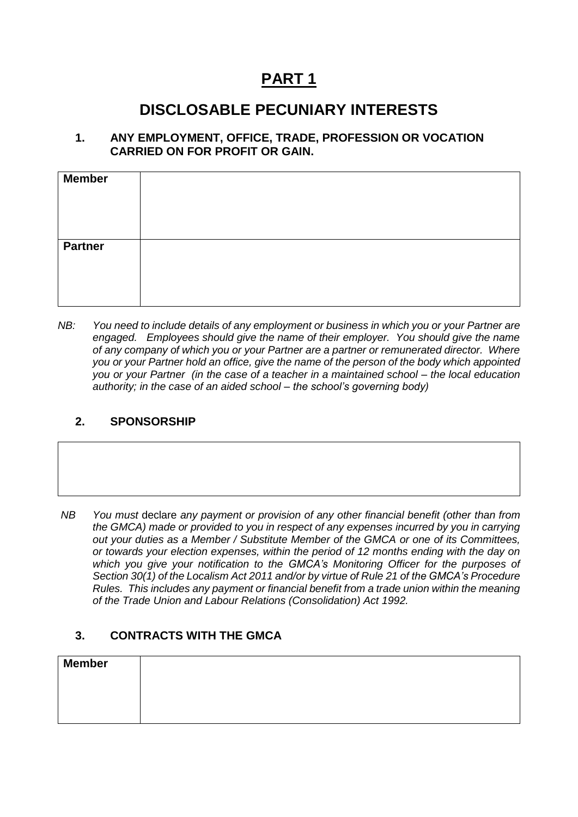# **PART 1**

## **DISCLOSABLE PECUNIARY INTERESTS**

#### **1. ANY EMPLOYMENT, OFFICE, TRADE, PROFESSION OR VOCATION CARRIED ON FOR PROFIT OR GAIN.**

| <b>Member</b>  |  |
|----------------|--|
| <b>Partner</b> |  |

*NB: You need to include details of any employment or business in which you or your Partner are engaged. Employees should give the name of their employer. You should give the name of any company of which you or your Partner are a partner or remunerated director. Where you or your Partner hold an office, give the name of the person of the body which appointed you or your Partner (in the case of a teacher in a maintained school – the local education authority; in the case of an aided school – the school's governing body)*

#### **2. SPONSORSHIP**

| NB | You must declare any payment or provision of any other financial benefit (other than from   |
|----|---------------------------------------------------------------------------------------------|
|    | the GMCA) made or provided to you in respect of any expenses incurred by you in carrying    |
|    | out your duties as a Member / Substitute Member of the GMCA or one of its Committees,       |
|    | or towards your election expenses, within the period of 12 months ending with the day on    |
|    | which you give your notification to the GMCA's Monitoring Officer for the purposes of       |
|    | Section 30(1) of the Localism Act 2011 and/or by virtue of Rule 21 of the GMCA's Procedure  |
|    | Rules. This includes any payment or financial benefit from a trade union within the meaning |
|    | of the Trade Union and Labour Relations (Consolidation) Act 1992.                           |

#### **3. CONTRACTS WITH THE GMCA**

| <b>Member</b> |  |  |
|---------------|--|--|
|               |  |  |
|               |  |  |
|               |  |  |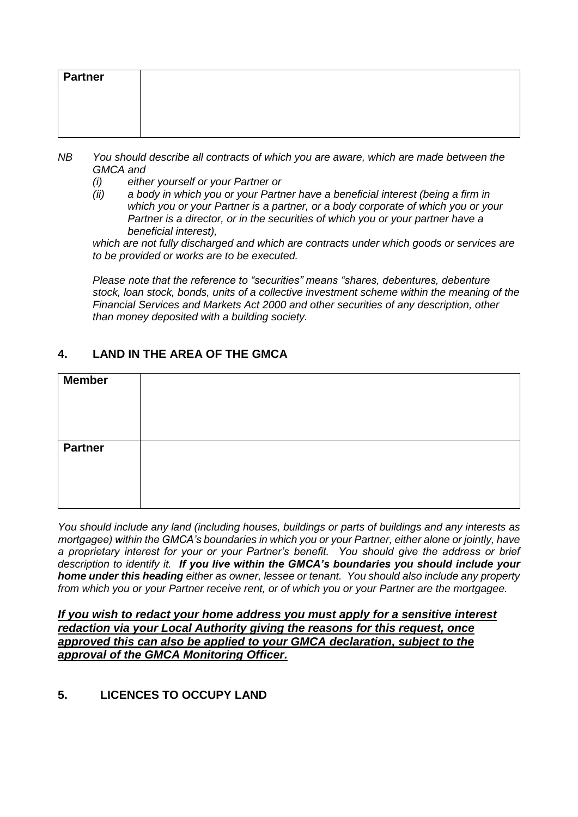| <b>Partner</b> |  |
|----------------|--|
|                |  |
|                |  |
|                |  |

*NB You should describe all contracts of which you are aware, which are made between the GMCA and* 

- *(i) either yourself or your Partner or*
- *(ii) a body in which you or your Partner have a beneficial interest (being a firm in which you or your Partner is a partner, or a body corporate of which you or your Partner is a director, or in the securities of which you or your partner have a beneficial interest),*

*which are not fully discharged and which are contracts under which goods or services are to be provided or works are to be executed.*

*Please note that the reference to "securities" means "shares, debentures, debenture stock, loan stock, bonds, units of a collective investment scheme within the meaning of the Financial Services and Markets Act 2000 and other securities of any description, other than money deposited with a building society.*

#### **4. LAND IN THE AREA OF THE GMCA**

| <b>Member</b>  |  |
|----------------|--|
| <b>Partner</b> |  |

*You should include any land (including houses, buildings or parts of buildings and any interests as mortgagee) within the GMCA's boundaries in which you or your Partner, either alone or jointly, have a proprietary interest for your or your Partner's benefit. You should give the address or brief description to identify it. If you live within the GMCA's boundaries you should include your home under this heading either as owner, lessee or tenant. You should also include any property from which you or your Partner receive rent, or of which you or your Partner are the mortgagee.*

*If you wish to redact your home address you must apply for a sensitive interest redaction via your Local Authority giving the reasons for this request, once approved this can also be applied to your GMCA declaration, subject to the approval of the GMCA Monitoring Officer.*

#### **5. LICENCES TO OCCUPY LAND**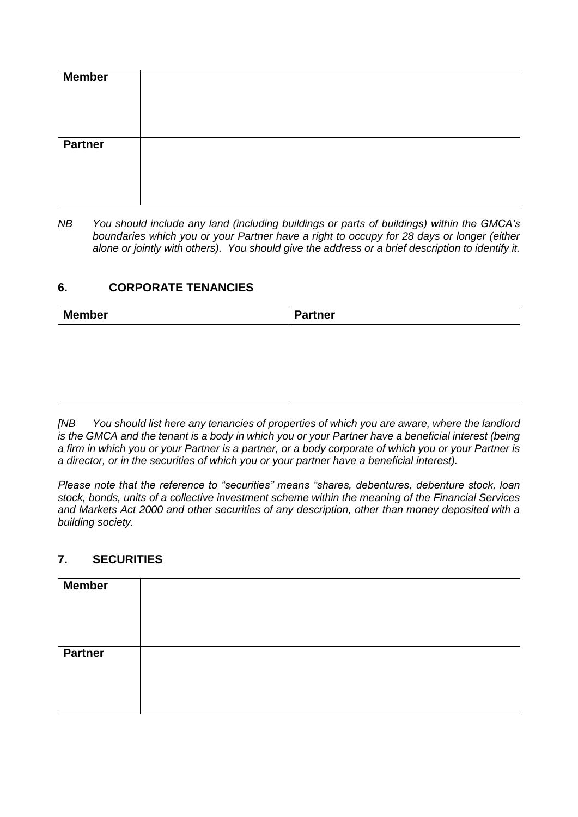| <b>Member</b>  |  |
|----------------|--|
| <b>Partner</b> |  |

*NB You should include any land (including buildings or parts of buildings) within the GMCA's boundaries which you or your Partner have a right to occupy for 28 days or longer (either alone or jointly with others). You should give the address or a brief description to identify it.*

#### **6. CORPORATE TENANCIES**

| <b>Member</b> | <b>Partner</b> |
|---------------|----------------|
|               |                |
|               |                |
|               |                |
|               |                |
|               |                |

*[NB You should list here any tenancies of properties of which you are aware, where the landlord is the GMCA and the tenant is a body in which you or your Partner have a beneficial interest (being a firm in which you or your Partner is a partner, or a body corporate of which you or your Partner is a director, or in the securities of which you or your partner have a beneficial interest).* 

*Please note that the reference to "securities" means "shares, debentures, debenture stock, loan stock, bonds, units of a collective investment scheme within the meaning of the Financial Services and Markets Act 2000 and other securities of any description, other than money deposited with a building society.*

#### **7. SECURITIES**

| <b>Member</b>  |  |
|----------------|--|
|                |  |
|                |  |
| <b>Partner</b> |  |
|                |  |
|                |  |
|                |  |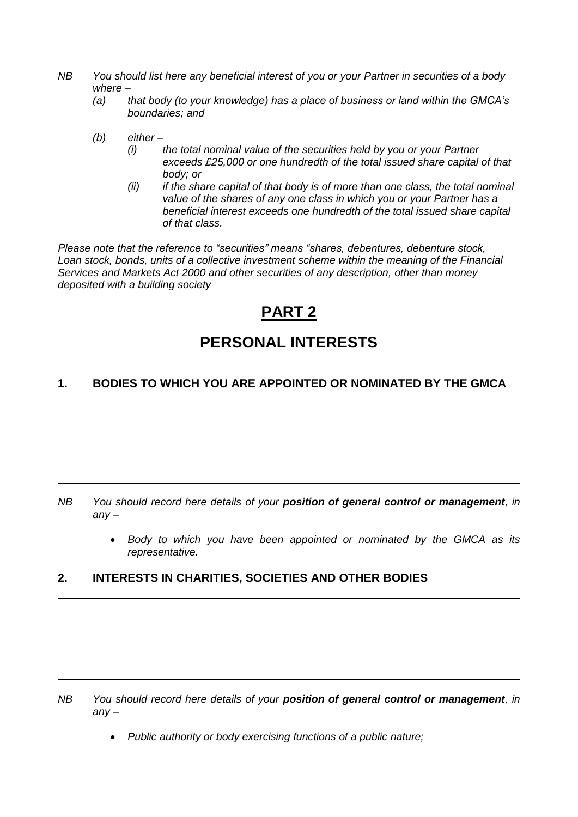- *NB You should list here any beneficial interest of you or your Partner in securities of a body where –*
	- *(a) that body (to your knowledge) has a place of business or land within the GMCA's boundaries; and*
	- *(b) either –*
		- *(i) the total nominal value of the securities held by you or your Partner exceeds £25,000 or one hundredth of the total issued share capital of that body; or*
		- *(ii) if the share capital of that body is of more than one class, the total nominal value of the shares of any one class in which you or your Partner has a beneficial interest exceeds one hundredth of the total issued share capital of that class.*

*Please note that the reference to "securities" means "shares, debentures, debenture stock, Loan stock, bonds, units of a collective investment scheme within the meaning of the Financial Services and Markets Act 2000 and other securities of any description, other than money deposited with a building society*

# **PART 2**

# **PERSONAL INTERESTS**

### **1. BODIES TO WHICH YOU ARE APPOINTED OR NOMINATED BY THE GMCA**

*NB You should record here details of your position of general control or management, in any –*

> *Body to which you have been appointed or nominated by the GMCA as its representative.*

#### **2. INTERESTS IN CHARITIES, SOCIETIES AND OTHER BODIES**

#### *NB You should record here details of your position of general control or management, in any –*

*Public authority or body exercising functions of a public nature;*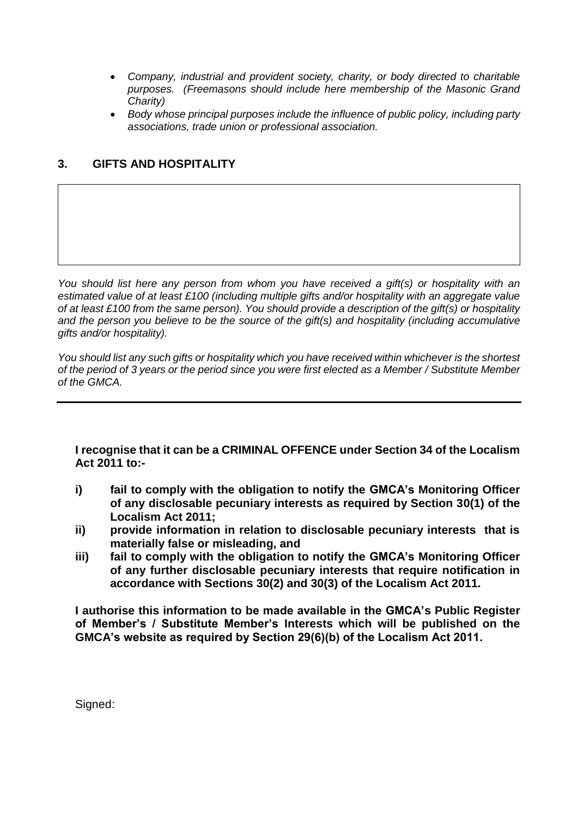- *Company, industrial and provident society, charity, or body directed to charitable purposes. (Freemasons should include here membership of the Masonic Grand Charity)*
- *Body whose principal purposes include the influence of public policy, including party associations, trade union or professional association.*

### **3. GIFTS AND HOSPITALITY**

*You should list here any person from whom you have received a gift(s) or hospitality with an estimated value of at least £100 (including multiple gifts and/or hospitality with an aggregate value of at least £100 from the same person). You should provide a description of the gift(s) or hospitality and the person you believe to be the source of the gift(s) and hospitality (including accumulative gifts and/or hospitality).*

*You should list any such gifts or hospitality which you have received within whichever is the shortest of the period of 3 years or the period since you were first elected as a Member / Substitute Member of the GMCA.*

**I recognise that it can be a CRIMINAL OFFENCE under Section 34 of the Localism Act 2011 to:-**

- **i) fail to comply with the obligation to notify the GMCA's Monitoring Officer of any disclosable pecuniary interests as required by Section 30(1) of the Localism Act 2011;**
- **ii) provide information in relation to disclosable pecuniary interests that is materially false or misleading, and**
- **iii) fail to comply with the obligation to notify the GMCA's Monitoring Officer of any further disclosable pecuniary interests that require notification in accordance with Sections 30(2) and 30(3) of the Localism Act 2011.**

**I authorise this information to be made available in the GMCA's Public Register of Member's / Substitute Member's Interests which will be published on the GMCA's website as required by Section 29(6)(b) of the Localism Act 2011.** 

Signed: